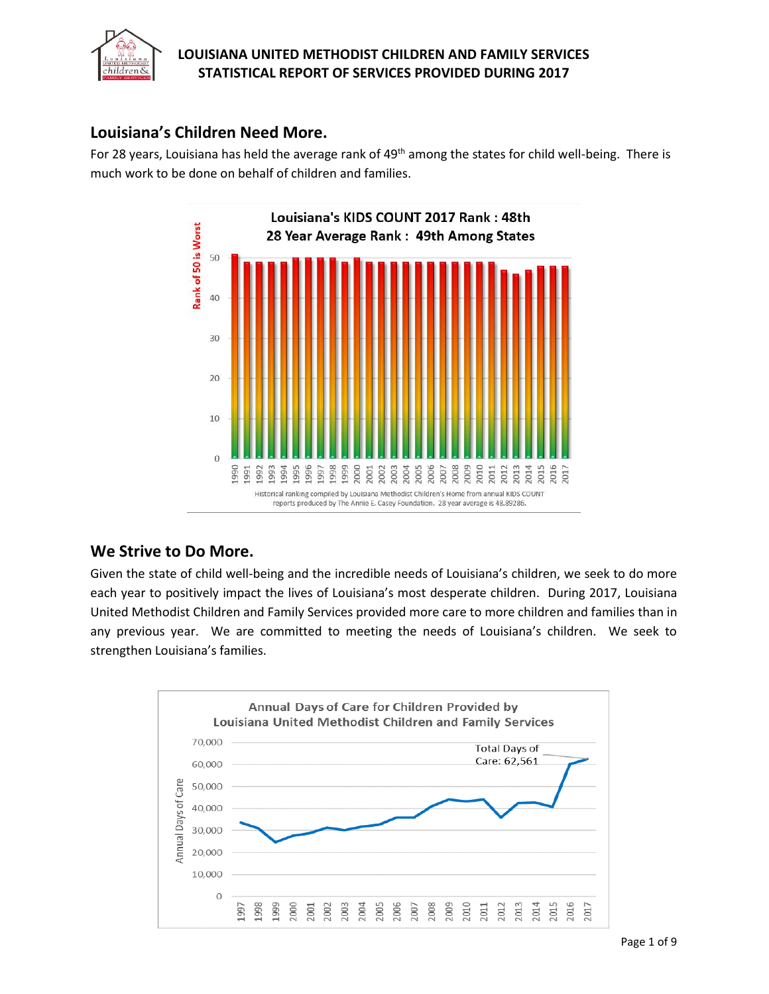

## **Louisiana's Children Need More.**

For 28 years, Louisiana has held the average rank of 49<sup>th</sup> among the states for child well-being. There is much work to be done on behalf of children and families.



## **We Strive to Do More.**

Given the state of child well-being and the incredible needs of Louisiana's children, we seek to do more each year to positively impact the lives of Louisiana's most desperate children. During 2017, Louisiana United Methodist Children and Family Services provided more care to more children and families than in any previous year. We are committed to meeting the needs of Louisiana's children. We seek to strengthen Louisiana's families.

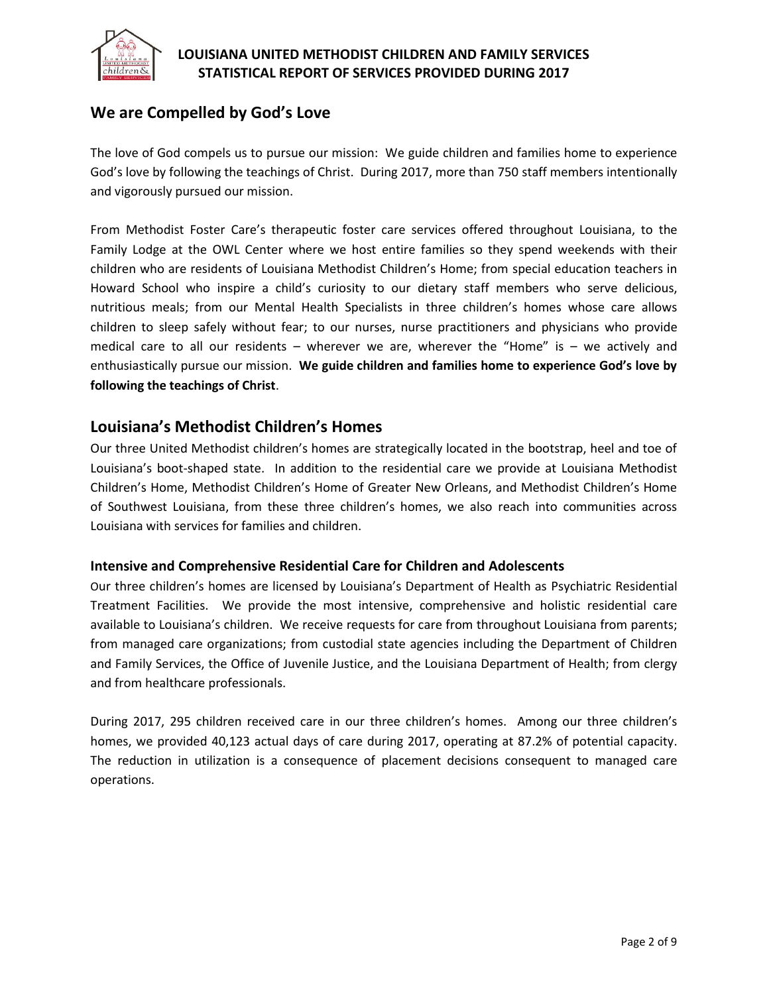

# **We are Compelled by God's Love**

The love of God compels us to pursue our mission: We guide children and families home to experience God's love by following the teachings of Christ. During 2017, more than 750 staff members intentionally and vigorously pursued our mission.

From Methodist Foster Care's therapeutic foster care services offered throughout Louisiana, to the Family Lodge at the OWL Center where we host entire families so they spend weekends with their children who are residents of Louisiana Methodist Children's Home; from special education teachers in Howard School who inspire a child's curiosity to our dietary staff members who serve delicious, nutritious meals; from our Mental Health Specialists in three children's homes whose care allows children to sleep safely without fear; to our nurses, nurse practitioners and physicians who provide medical care to all our residents – wherever we are, wherever the "Home" is – we actively and enthusiastically pursue our mission. **We guide children and families home to experience God's love by following the teachings of Christ**.

#### **Louisiana's Methodist Children's Homes**

Our three United Methodist children's homes are strategically located in the bootstrap, heel and toe of Louisiana's boot-shaped state. In addition to the residential care we provide at Louisiana Methodist Children's Home, Methodist Children's Home of Greater New Orleans, and Methodist Children's Home of Southwest Louisiana, from these three children's homes, we also reach into communities across Louisiana with services for families and children.

#### **Intensive and Comprehensive Residential Care for Children and Adolescents**

Our three children's homes are licensed by Louisiana's Department of Health as Psychiatric Residential Treatment Facilities. We provide the most intensive, comprehensive and holistic residential care available to Louisiana's children. We receive requests for care from throughout Louisiana from parents; from managed care organizations; from custodial state agencies including the Department of Children and Family Services, the Office of Juvenile Justice, and the Louisiana Department of Health; from clergy and from healthcare professionals.

During 2017, 295 children received care in our three children's homes. Among our three children's homes, we provided 40,123 actual days of care during 2017, operating at 87.2% of potential capacity. The reduction in utilization is a consequence of placement decisions consequent to managed care operations.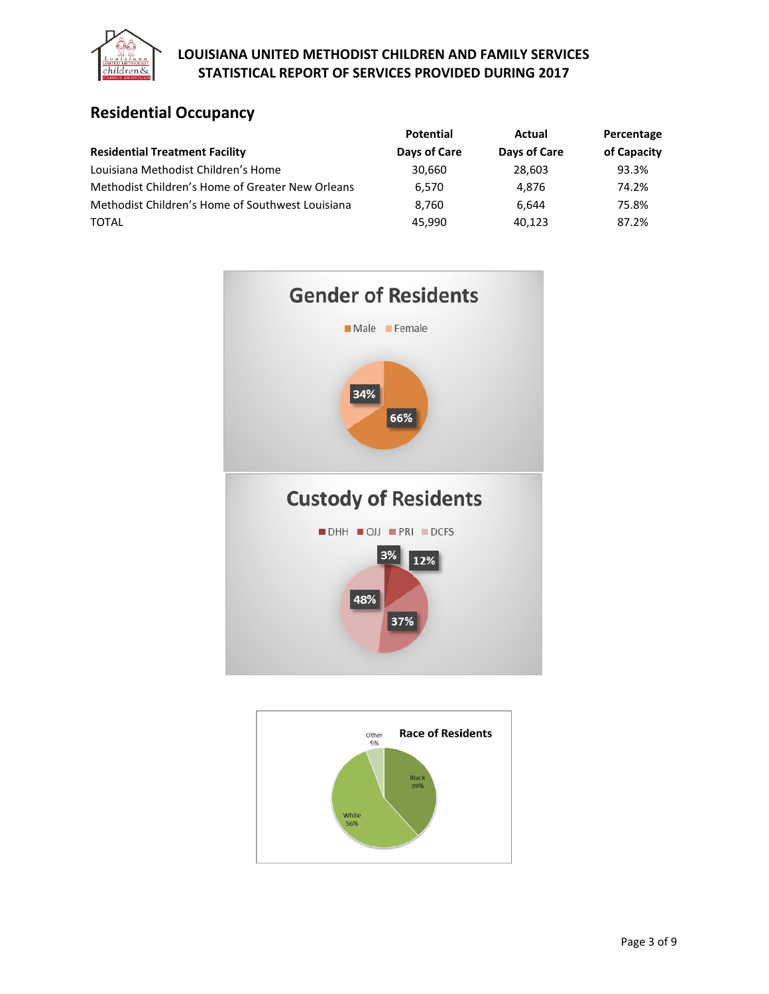

# **Residential Occupancy**

|                                                  | <b>Potential</b> | Actual       | Percentage  |
|--------------------------------------------------|------------------|--------------|-------------|
| <b>Residential Treatment Facility</b>            | Days of Care     | Days of Care | of Capacity |
| Louisiana Methodist Children's Home              | 30,660           | 28.603       | 93.3%       |
| Methodist Children's Home of Greater New Orleans | 6.570            | 4.876        | 74.2%       |
| Methodist Children's Home of Southwest Louisiana | 8.760            | 6.644        | 75.8%       |
| <b>TOTAL</b>                                     | 45.990           | 40.123       | 87.2%       |



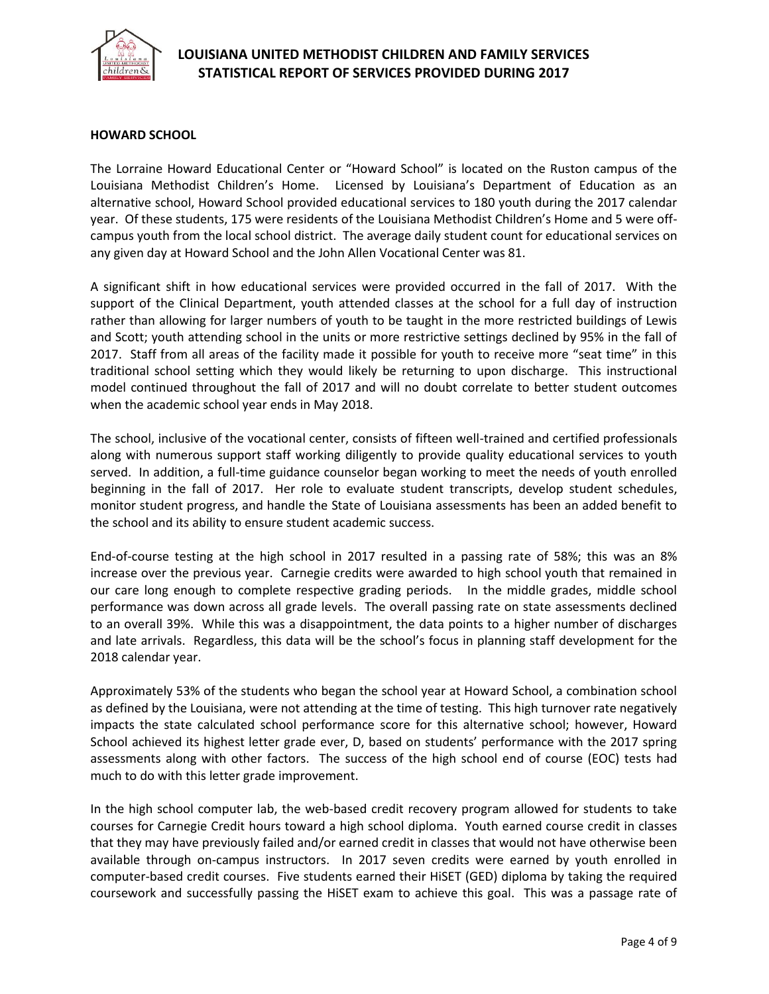

#### **HOWARD SCHOOL**

The Lorraine Howard Educational Center or "Howard School" is located on the Ruston campus of the Louisiana Methodist Children's Home. Licensed by Louisiana's Department of Education as an alternative school, Howard School provided educational services to 180 youth during the 2017 calendar year. Of these students, 175 were residents of the Louisiana Methodist Children's Home and 5 were offcampus youth from the local school district. The average daily student count for educational services on any given day at Howard School and the John Allen Vocational Center was 81.

A significant shift in how educational services were provided occurred in the fall of 2017. With the support of the Clinical Department, youth attended classes at the school for a full day of instruction rather than allowing for larger numbers of youth to be taught in the more restricted buildings of Lewis and Scott; youth attending school in the units or more restrictive settings declined by 95% in the fall of 2017. Staff from all areas of the facility made it possible for youth to receive more "seat time" in this traditional school setting which they would likely be returning to upon discharge. This instructional model continued throughout the fall of 2017 and will no doubt correlate to better student outcomes when the academic school year ends in May 2018.

The school, inclusive of the vocational center, consists of fifteen well-trained and certified professionals along with numerous support staff working diligently to provide quality educational services to youth served. In addition, a full-time guidance counselor began working to meet the needs of youth enrolled beginning in the fall of 2017. Her role to evaluate student transcripts, develop student schedules, monitor student progress, and handle the State of Louisiana assessments has been an added benefit to the school and its ability to ensure student academic success.

End-of-course testing at the high school in 2017 resulted in a passing rate of 58%; this was an 8% increase over the previous year. Carnegie credits were awarded to high school youth that remained in our care long enough to complete respective grading periods. In the middle grades, middle school performance was down across all grade levels. The overall passing rate on state assessments declined to an overall 39%. While this was a disappointment, the data points to a higher number of discharges and late arrivals. Regardless, this data will be the school's focus in planning staff development for the 2018 calendar year.

Approximately 53% of the students who began the school year at Howard School, a combination school as defined by the Louisiana, were not attending at the time of testing. This high turnover rate negatively impacts the state calculated school performance score for this alternative school; however, Howard School achieved its highest letter grade ever, D, based on students' performance with the 2017 spring assessments along with other factors. The success of the high school end of course (EOC) tests had much to do with this letter grade improvement.

In the high school computer lab, the web-based credit recovery program allowed for students to take courses for Carnegie Credit hours toward a high school diploma. Youth earned course credit in classes that they may have previously failed and/or earned credit in classes that would not have otherwise been available through on-campus instructors. In 2017 seven credits were earned by youth enrolled in computer-based credit courses. Five students earned their HiSET (GED) diploma by taking the required coursework and successfully passing the HiSET exam to achieve this goal. This was a passage rate of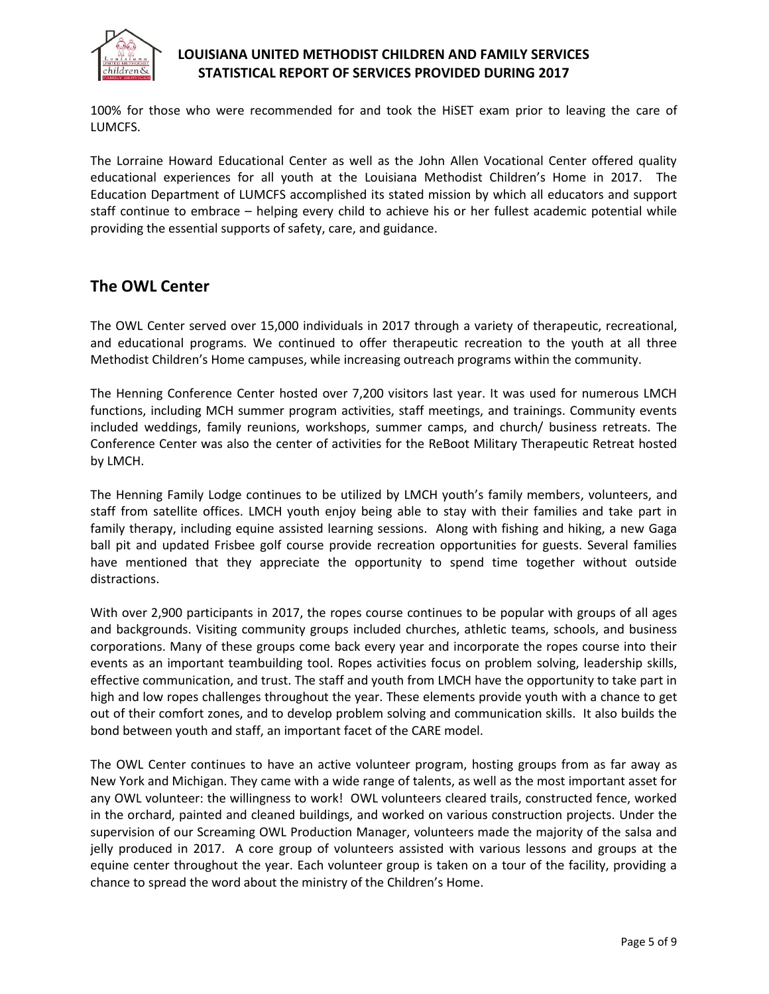

100% for those who were recommended for and took the HiSET exam prior to leaving the care of LUMCFS.

The Lorraine Howard Educational Center as well as the John Allen Vocational Center offered quality educational experiences for all youth at the Louisiana Methodist Children's Home in 2017. The Education Department of LUMCFS accomplished its stated mission by which all educators and support staff continue to embrace – helping every child to achieve his or her fullest academic potential while providing the essential supports of safety, care, and guidance.

## **The OWL Center**

The OWL Center served over 15,000 individuals in 2017 through a variety of therapeutic, recreational, and educational programs. We continued to offer therapeutic recreation to the youth at all three Methodist Children's Home campuses, while increasing outreach programs within the community.

The Henning Conference Center hosted over 7,200 visitors last year. It was used for numerous LMCH functions, including MCH summer program activities, staff meetings, and trainings. Community events included weddings, family reunions, workshops, summer camps, and church/ business retreats. The Conference Center was also the center of activities for the ReBoot Military Therapeutic Retreat hosted by LMCH.

The Henning Family Lodge continues to be utilized by LMCH youth's family members, volunteers, and staff from satellite offices. LMCH youth enjoy being able to stay with their families and take part in family therapy, including equine assisted learning sessions. Along with fishing and hiking, a new Gaga ball pit and updated Frisbee golf course provide recreation opportunities for guests. Several families have mentioned that they appreciate the opportunity to spend time together without outside distractions.

With over 2,900 participants in 2017, the ropes course continues to be popular with groups of all ages and backgrounds. Visiting community groups included churches, athletic teams, schools, and business corporations. Many of these groups come back every year and incorporate the ropes course into their events as an important teambuilding tool. Ropes activities focus on problem solving, leadership skills, effective communication, and trust. The staff and youth from LMCH have the opportunity to take part in high and low ropes challenges throughout the year. These elements provide youth with a chance to get out of their comfort zones, and to develop problem solving and communication skills. It also builds the bond between youth and staff, an important facet of the CARE model.

The OWL Center continues to have an active volunteer program, hosting groups from as far away as New York and Michigan. They came with a wide range of talents, as well as the most important asset for any OWL volunteer: the willingness to work! OWL volunteers cleared trails, constructed fence, worked in the orchard, painted and cleaned buildings, and worked on various construction projects. Under the supervision of our Screaming OWL Production Manager, volunteers made the majority of the salsa and jelly produced in 2017. A core group of volunteers assisted with various lessons and groups at the equine center throughout the year. Each volunteer group is taken on a tour of the facility, providing a chance to spread the word about the ministry of the Children's Home.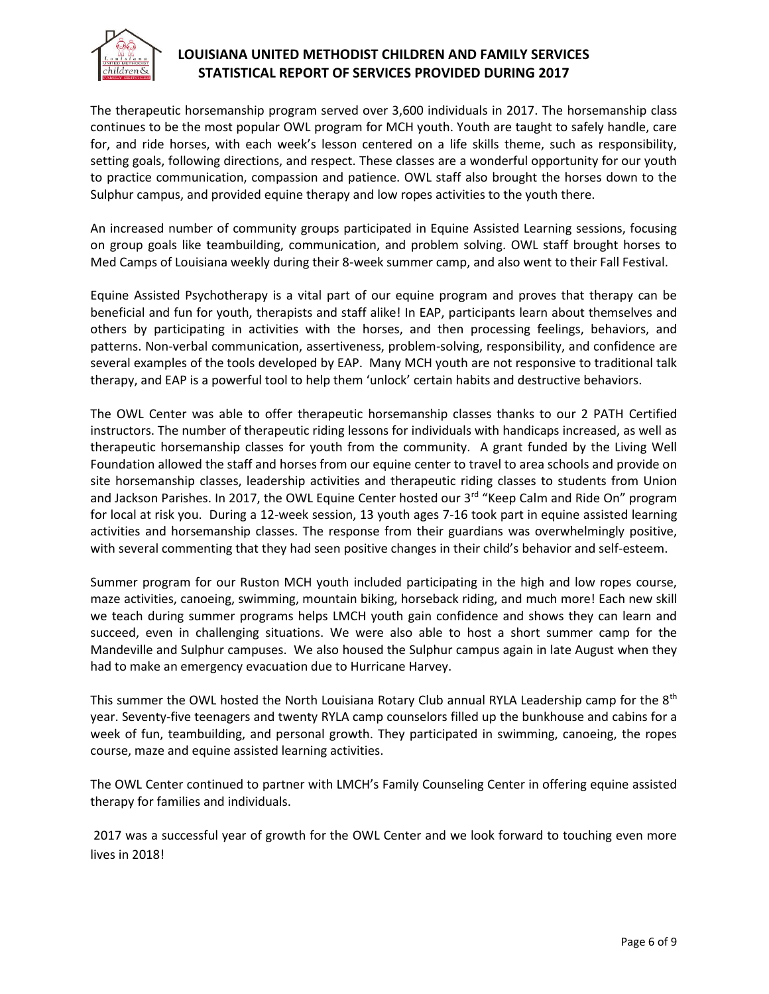

The therapeutic horsemanship program served over 3,600 individuals in 2017. The horsemanship class continues to be the most popular OWL program for MCH youth. Youth are taught to safely handle, care for, and ride horses, with each week's lesson centered on a life skills theme, such as responsibility, setting goals, following directions, and respect. These classes are a wonderful opportunity for our youth to practice communication, compassion and patience. OWL staff also brought the horses down to the Sulphur campus, and provided equine therapy and low ropes activities to the youth there.

An increased number of community groups participated in Equine Assisted Learning sessions, focusing on group goals like teambuilding, communication, and problem solving. OWL staff brought horses to Med Camps of Louisiana weekly during their 8-week summer camp, and also went to their Fall Festival.

Equine Assisted Psychotherapy is a vital part of our equine program and proves that therapy can be beneficial and fun for youth, therapists and staff alike! In EAP, participants learn about themselves and others by participating in activities with the horses, and then processing feelings, behaviors, and patterns. Non-verbal communication, assertiveness, problem-solving, responsibility, and confidence are several examples of the tools developed by EAP. Many MCH youth are not responsive to traditional talk therapy, and EAP is a powerful tool to help them 'unlock' certain habits and destructive behaviors.

The OWL Center was able to offer therapeutic horsemanship classes thanks to our 2 PATH Certified instructors. The number of therapeutic riding lessons for individuals with handicaps increased, as well as therapeutic horsemanship classes for youth from the community. A grant funded by the Living Well Foundation allowed the staff and horses from our equine center to travel to area schools and provide on site horsemanship classes, leadership activities and therapeutic riding classes to students from Union and Jackson Parishes. In 2017, the OWL Equine Center hosted our 3rd "Keep Calm and Ride On" program for local at risk you. During a 12-week session, 13 youth ages 7-16 took part in equine assisted learning activities and horsemanship classes. The response from their guardians was overwhelmingly positive, with several commenting that they had seen positive changes in their child's behavior and self-esteem.

Summer program for our Ruston MCH youth included participating in the high and low ropes course, maze activities, canoeing, swimming, mountain biking, horseback riding, and much more! Each new skill we teach during summer programs helps LMCH youth gain confidence and shows they can learn and succeed, even in challenging situations. We were also able to host a short summer camp for the Mandeville and Sulphur campuses. We also housed the Sulphur campus again in late August when they had to make an emergency evacuation due to Hurricane Harvey.

This summer the OWL hosted the North Louisiana Rotary Club annual RYLA Leadership camp for the 8<sup>th</sup> year. Seventy-five teenagers and twenty RYLA camp counselors filled up the bunkhouse and cabins for a week of fun, teambuilding, and personal growth. They participated in swimming, canoeing, the ropes course, maze and equine assisted learning activities.

The OWL Center continued to partner with LMCH's Family Counseling Center in offering equine assisted therapy for families and individuals.

2017 was a successful year of growth for the OWL Center and we look forward to touching even more lives in 2018!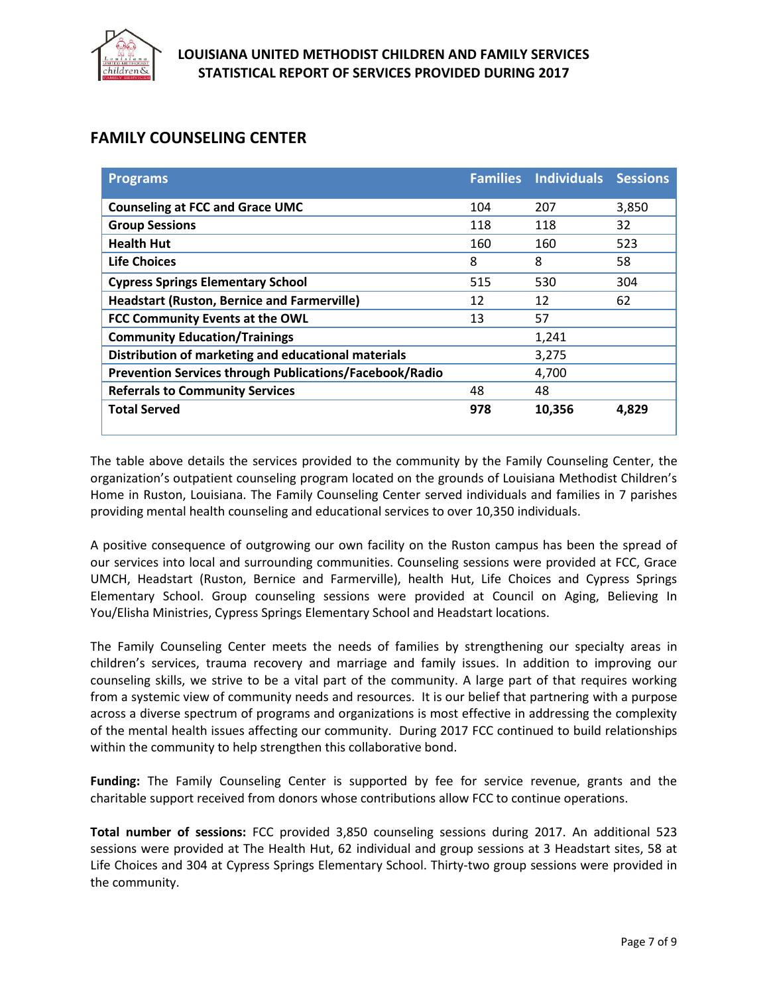

# **FAMILY COUNSELING CENTER**

| <b>Programs</b>                                                |     | <b>Families Individuals Sessions</b> |       |
|----------------------------------------------------------------|-----|--------------------------------------|-------|
| <b>Counseling at FCC and Grace UMC</b>                         | 104 | 207                                  | 3,850 |
| <b>Group Sessions</b>                                          | 118 | 118                                  | 32    |
| <b>Health Hut</b>                                              | 160 | 160                                  | 523   |
| <b>Life Choices</b>                                            | 8   | 8                                    | 58    |
| <b>Cypress Springs Elementary School</b>                       | 515 | 530                                  | 304   |
| <b>Headstart (Ruston, Bernice and Farmerville)</b>             | 12  | 12                                   | 62    |
| FCC Community Events at the OWL                                | 13  | 57                                   |       |
| <b>Community Education/Trainings</b>                           |     | 1,241                                |       |
| Distribution of marketing and educational materials            |     | 3,275                                |       |
| <b>Prevention Services through Publications/Facebook/Radio</b> |     | 4,700                                |       |
| <b>Referrals to Community Services</b>                         | 48  | 48                                   |       |
| <b>Total Served</b>                                            | 978 | 10,356                               | 4.829 |

The table above details the services provided to the community by the Family Counseling Center, the organization's outpatient counseling program located on the grounds of Louisiana Methodist Children's Home in Ruston, Louisiana. The Family Counseling Center served individuals and families in 7 parishes providing mental health counseling and educational services to over 10,350 individuals.

A positive consequence of outgrowing our own facility on the Ruston campus has been the spread of our services into local and surrounding communities. Counseling sessions were provided at FCC, Grace UMCH, Headstart (Ruston, Bernice and Farmerville), health Hut, Life Choices and Cypress Springs Elementary School. Group counseling sessions were provided at Council on Aging, Believing In You/Elisha Ministries, Cypress Springs Elementary School and Headstart locations.

The Family Counseling Center meets the needs of families by strengthening our specialty areas in children's services, trauma recovery and marriage and family issues. In addition to improving our counseling skills, we strive to be a vital part of the community. A large part of that requires working from a systemic view of community needs and resources. It is our belief that partnering with a purpose across a diverse spectrum of programs and organizations is most effective in addressing the complexity of the mental health issues affecting our community. During 2017 FCC continued to build relationships within the community to help strengthen this collaborative bond.

**Funding:** The Family Counseling Center is supported by fee for service revenue, grants and the charitable support received from donors whose contributions allow FCC to continue operations.

**Total number of sessions:** FCC provided 3,850 counseling sessions during 2017. An additional 523 sessions were provided at The Health Hut, 62 individual and group sessions at 3 Headstart sites, 58 at Life Choices and 304 at Cypress Springs Elementary School. Thirty-two group sessions were provided in the community.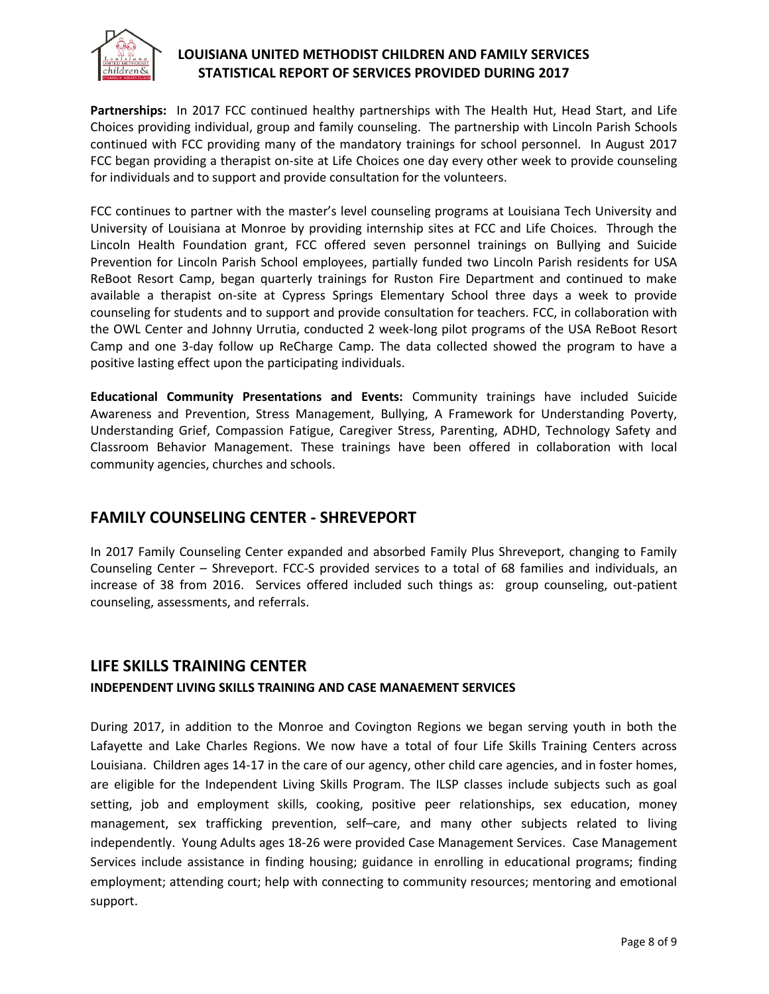

Partnerships: In 2017 FCC continued healthy partnerships with The Health Hut, Head Start, and Life Choices providing individual, group and family counseling. The partnership with Lincoln Parish Schools continued with FCC providing many of the mandatory trainings for school personnel. In August 2017 FCC began providing a therapist on-site at Life Choices one day every other week to provide counseling for individuals and to support and provide consultation for the volunteers.

FCC continues to partner with the master's level counseling programs at Louisiana Tech University and University of Louisiana at Monroe by providing internship sites at FCC and Life Choices. Through the Lincoln Health Foundation grant, FCC offered seven personnel trainings on Bullying and Suicide Prevention for Lincoln Parish School employees, partially funded two Lincoln Parish residents for USA ReBoot Resort Camp, began quarterly trainings for Ruston Fire Department and continued to make available a therapist on-site at Cypress Springs Elementary School three days a week to provide counseling for students and to support and provide consultation for teachers. FCC, in collaboration with the OWL Center and Johnny Urrutia, conducted 2 week-long pilot programs of the USA ReBoot Resort Camp and one 3-day follow up ReCharge Camp. The data collected showed the program to have a positive lasting effect upon the participating individuals.

**Educational Community Presentations and Events:** Community trainings have included Suicide Awareness and Prevention, Stress Management, Bullying, A Framework for Understanding Poverty, Understanding Grief, Compassion Fatigue, Caregiver Stress, Parenting, ADHD, Technology Safety and Classroom Behavior Management. These trainings have been offered in collaboration with local community agencies, churches and schools.

## **FAMILY COUNSELING CENTER - SHREVEPORT**

In 2017 Family Counseling Center expanded and absorbed Family Plus Shreveport, changing to Family Counseling Center – Shreveport. FCC-S provided services to a total of 68 families and individuals, an increase of 38 from 2016. Services offered included such things as: group counseling, out-patient counseling, assessments, and referrals.

#### **LIFE SKILLS TRAINING CENTER**

#### **INDEPENDENT LIVING SKILLS TRAINING AND CASE MANAEMENT SERVICES**

During 2017, in addition to the Monroe and Covington Regions we began serving youth in both the Lafayette and Lake Charles Regions. We now have a total of four Life Skills Training Centers across Louisiana. Children ages 14-17 in the care of our agency, other child care agencies, and in foster homes, are eligible for the Independent Living Skills Program. The ILSP classes include subjects such as goal setting, job and employment skills, cooking, positive peer relationships, sex education, money management, sex trafficking prevention, self–care, and many other subjects related to living independently. Young Adults ages 18-26 were provided Case Management Services. Case Management Services include assistance in finding housing; guidance in enrolling in educational programs; finding employment; attending court; help with connecting to community resources; mentoring and emotional support.